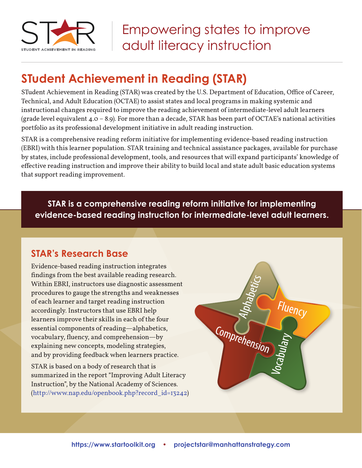

# **STudent Achievement in Reading (STAR)**

STudent Achievement in Reading (STAR) was created by the U.S. Department of Education, Office of Career, Technical, and Adult Education (OCTAE) to assist states and local programs in making systemic and instructional changes required to improve the reading achievement of intermediate-level adult learners (grade level equivalent 4.0 – 8.9). For more than a decade, STAR has been part of OCTAE's national activities portfolio as its professional development initiative in adult reading instruction.

STAR is a comprehensive reading reform initiative for implementing evidence-based reading instruction (EBRI) with this learner population. STAR training and technical assistance packages, available for purchase by states, include professional development, tools, and resources that will expand participants' knowledge of effective reading instruction and improve their ability to build local and state adult basic education systems that support reading improvement.

**STAR is a comprehensive reading reform initiative for implementing evidence-based reading instruction for intermediate-level adult learners.**

## **STAR's Research Base**

Evidence-based reading instruction integrates findings from the best available reading research. Within EBRI, instructors use diagnostic assessment procedures to gauge the strengths and weaknesses of each learner and target reading instruction accordingly. Instructors that use EBRI help learners improve their skills in each of the four essential components of reading—alphabetics, vocabulary, fluency, and comprehension—by explaining new concepts, modeling strategies, and by providing feedback when learners practice.

STAR is based on a body of research that is summarized in the report "Improving Adult Literacy Instruction", by the National Academy of Sciences. (http://www.nap.edu/openbook.php?record\_id=13242)